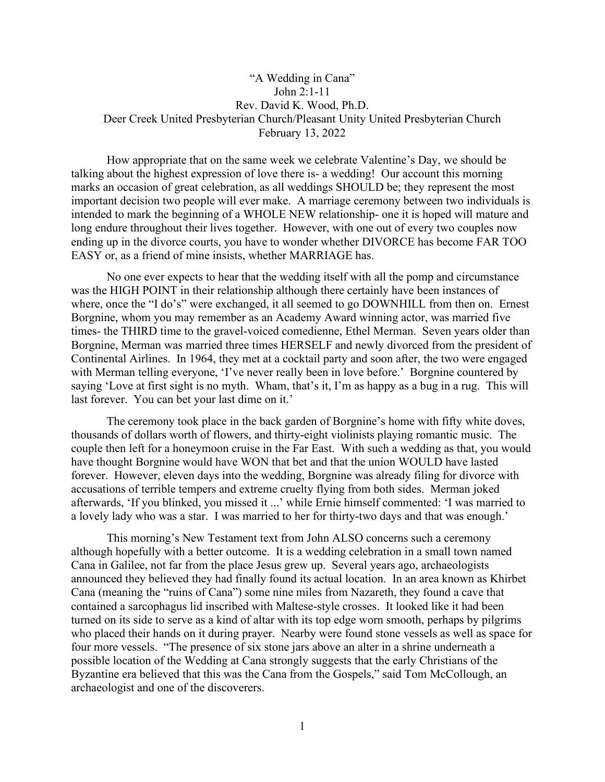## "A Wedding in Cana" John 2:1-11 Rev. David K. Wood, Ph.D. Deer Creek United Presbyterian Church/Pleasant Unity United Presbyterian Church February 13, 2022

How appropriate that on the same week we celebrate Valentine's Day, we should be talking about the highest expression of love there is- a wedding! Our account this morning marks an occasion of great celebration, as all weddings SHOULD be; they represent the most important decision two people will ever make. A marriage ceremony between two individuals is intended to mark the beginning of a WHOLE NEW relationship- one it is hoped will mature and long endure throughout their lives together. However, with one out of every two couples now ending up in the divorce courts, you have to wonder whether DIVORCE has become FAR TOO EASY or, as a friend of mine insists, whether MARRIAGE has.

No one ever expects to hear that the wedding itself with all the pomp and circumstance was the HIGH POINT in their relationship although there certainly have been instances of where, once the "I do's" were exchanged, it all seemed to go DOWNHILL from then on. Ernest Borgnine, whom you may remember as an Academy Award winning actor, was married five times- the THIRD time to the gravel-voiced comedienne, Ethel Merman. Seven years older than Borgnine, Merman was married three times HERSELF and newly divorced from the president of Continental Airlines. In 1964, they met at a cocktail party and soon after, the two were engaged with Merman telling everyone, 'I've never really been in love before.' Borgnine countered by saying 'Love at first sight is no myth. Wham, that's it, I'm as happy as a bug in a rug. This will last forever. You can bet your last dime on it.'

The ceremony took place in the back garden of Borgnine's home with fifty white doves, thousands of dollars worth of flowers, and thirty-eight violinists playing romantic music. The couple then left for a honeymoon cruise in the Far East. With such a wedding as that, you would have thought Borgnine would have WON that bet and that the union WOULD have lasted forever. However, eleven days into the wedding, Borgnine was already filing for divorce with accusations of terrible tempers and extreme cruelty flying from both sides. Merman joked afterwards, 'If you blinked, you missed it ...' while Ernie himself commented: 'I was married to a lovely lady who was a star. I was married to her for thirty-two days and that was enough.'

This morning's New Testament text from John ALSO concerns such a ceremony although hopefully with a better outcome. It is a wedding celebration in a small town named Cana in Galilee, not far from the place Jesus grew up. Several years ago, archaeologists announced they believed they had finally found its actual location. In an area known as Khirbet Cana (meaning the "ruins of Cana") some nine miles from Nazareth, they found a cave that contained a sarcophagus lid inscribed with Maltese-style crosses. It looked like it had been turned on its side to serve as a kind of altar with its top edge worn smooth, perhaps by pilgrims who placed their hands on it during prayer. Nearby were found stone vessels as well as space for four more vessels. "The presence of six stone jars above an alter in a shrine underneath a possible location of the Wedding at Cana strongly suggests that the early Christians of the Byzantine era believed that this was the Cana from the Gospels," said Tom McCollough, an archaeologist and one of the discoverers.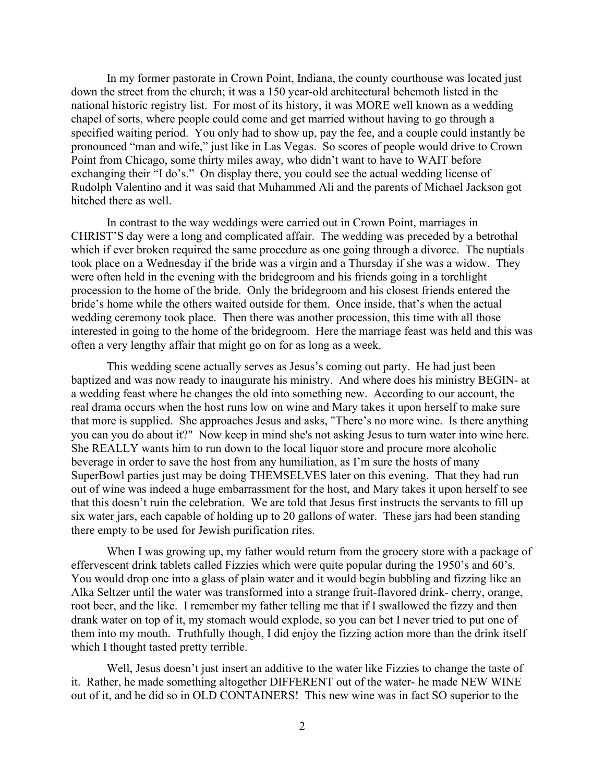In my former pastorate in Crown Point, Indiana, the county courthouse was located just down the street from the church; it was a 150 year-old architectural behemoth listed in the national historic registry list. For most of its history, it was MORE well known as a wedding chapel of sorts, where people could come and get married without having to go through a specified waiting period. You only had to show up, pay the fee, and a couple could instantly be pronounced "man and wife," just like in Las Vegas. So scores of people would drive to Crown Point from Chicago, some thirty miles away, who didn't want to have to WAIT before exchanging their "I do's." On display there, you could see the actual wedding license of Rudolph Valentino and it was said that Muhammed Ali and the parents of Michael Jackson got hitched there as well.

In contrast to the way weddings were carried out in Crown Point, marriages in CHRIST'S day were a long and complicated affair. The wedding was preceded by a betrothal which if ever broken required the same procedure as one going through a divorce. The nuptials took place on a Wednesday if the bride was a virgin and a Thursday if she was a widow. They were often held in the evening with the bridegroom and his friends going in a torchlight procession to the home of the bride. Only the bridegroom and his closest friends entered the bride's home while the others waited outside for them. Once inside, that's when the actual wedding ceremony took place. Then there was another procession, this time with all those interested in going to the home of the bridegroom. Here the marriage feast was held and this was often a very lengthy affair that might go on for as long as a week.

This wedding scene actually serves as Jesus's coming out party. He had just been baptized and was now ready to inaugurate his ministry. And where does his ministry BEGIN- at a wedding feast where he changes the old into something new. According to our account, the real drama occurs when the host runs low on wine and Mary takes it upon herself to make sure that more is supplied. She approaches Jesus and asks, "There's no more wine. Is there anything you can you do about it?" Now keep in mind she's not asking Jesus to turn water into wine here. She REALLY wants him to run down to the local liquor store and procure more alcoholic beverage in order to save the host from any humiliation, as I'm sure the hosts of many SuperBowl parties just may be doing THEMSELVES later on this evening. That they had run out of wine was indeed a huge embarrassment for the host, and Mary takes it upon herself to see that this doesn't ruin the celebration. We are told that Jesus first instructs the servants to fill up six water jars, each capable of holding up to 20 gallons of water. These jars had been standing there empty to be used for Jewish purification rites.

When I was growing up, my father would return from the grocery store with a package of effervescent drink tablets called Fizzies which were quite popular during the 1950's and 60's. You would drop one into a glass of plain water and it would begin bubbling and fizzing like an Alka Seltzer until the water was transformed into a strange fruit-flavored drink- cherry, orange, root beer, and the like. I remember my father telling me that if I swallowed the fizzy and then drank water on top of it, my stomach would explode, so you can bet I never tried to put one of them into my mouth. Truthfully though, I did enjoy the fizzing action more than the drink itself which I thought tasted pretty terrible.

Well, Jesus doesn't just insert an additive to the water like Fizzies to change the taste of it. Rather, he made something altogether DIFFERENT out of the water- he made NEW WINE out of it, and he did so in OLD CONTAINERS! This new wine was in fact SO superior to the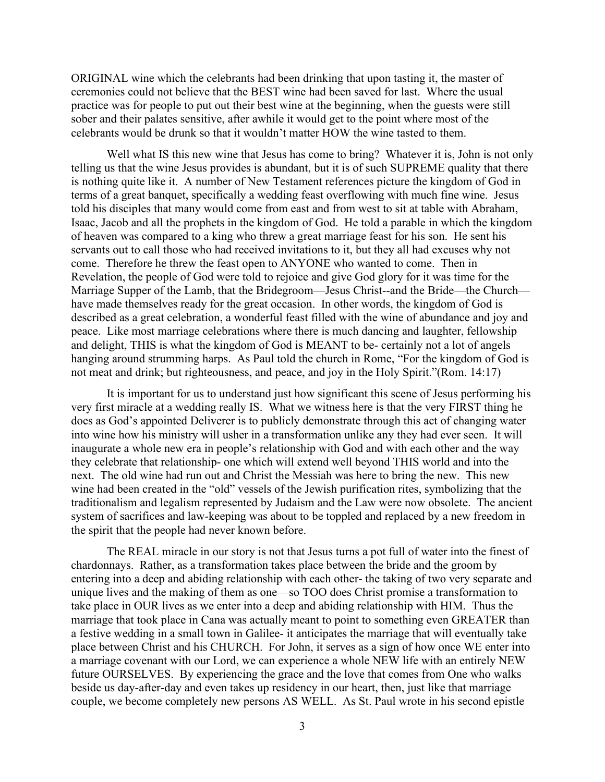ORIGINAL wine which the celebrants had been drinking that upon tasting it, the master of ceremonies could not believe that the BEST wine had been saved for last. Where the usual practice was for people to put out their best wine at the beginning, when the guests were still sober and their palates sensitive, after awhile it would get to the point where most of the celebrants would be drunk so that it wouldn't matter HOW the wine tasted to them.

Well what IS this new wine that Jesus has come to bring? Whatever it is, John is not only telling us that the wine Jesus provides is abundant, but it is of such SUPREME quality that there is nothing quite like it. A number of New Testament references picture the kingdom of God in terms of a great banquet, specifically a wedding feast overflowing with much fine wine. Jesus told his disciples that many would come from east and from west to sit at table with Abraham, Isaac, Jacob and all the prophets in the kingdom of God. He told a parable in which the kingdom of heaven was compared to a king who threw a great marriage feast for his son. He sent his servants out to call those who had received invitations to it, but they all had excuses why not come. Therefore he threw the feast open to ANYONE who wanted to come. Then in Revelation, the people of God were told to rejoice and give God glory for it was time for the Marriage Supper of the Lamb, that the Bridegroom—Jesus Christ--and the Bride—the Church have made themselves ready for the great occasion. In other words, the kingdom of God is described as a great celebration, a wonderful feast filled with the wine of abundance and joy and peace. Like most marriage celebrations where there is much dancing and laughter, fellowship and delight, THIS is what the kingdom of God is MEANT to be- certainly not a lot of angels hanging around strumming harps. As Paul told the church in Rome, "For the kingdom of God is not meat and drink; but righteousness, and peace, and joy in the Holy Spirit."(Rom. 14:17)

It is important for us to understand just how significant this scene of Jesus performing his very first miracle at a wedding really IS. What we witness here is that the very FIRST thing he does as God's appointed Deliverer is to publicly demonstrate through this act of changing water into wine how his ministry will usher in a transformation unlike any they had ever seen. It will inaugurate a whole new era in people's relationship with God and with each other and the way they celebrate that relationship- one which will extend well beyond THIS world and into the next. The old wine had run out and Christ the Messiah was here to bring the new. This new wine had been created in the "old" vessels of the Jewish purification rites, symbolizing that the traditionalism and legalism represented by Judaism and the Law were now obsolete. The ancient system of sacrifices and law-keeping was about to be toppled and replaced by a new freedom in the spirit that the people had never known before.

The REAL miracle in our story is not that Jesus turns a pot full of water into the finest of chardonnays. Rather, as a transformation takes place between the bride and the groom by entering into a deep and abiding relationship with each other- the taking of two very separate and unique lives and the making of them as one—so TOO does Christ promise a transformation to take place in OUR lives as we enter into a deep and abiding relationship with HIM. Thus the marriage that took place in Cana was actually meant to point to something even GREATER than a festive wedding in a small town in Galilee- it anticipates the marriage that will eventually take place between Christ and his CHURCH. For John, it serves as a sign of how once WE enter into a marriage covenant with our Lord, we can experience a whole NEW life with an entirely NEW future OURSELVES. By experiencing the grace and the love that comes from One who walks beside us day-after-day and even takes up residency in our heart, then, just like that marriage couple, we become completely new persons AS WELL. As St. Paul wrote in his second epistle